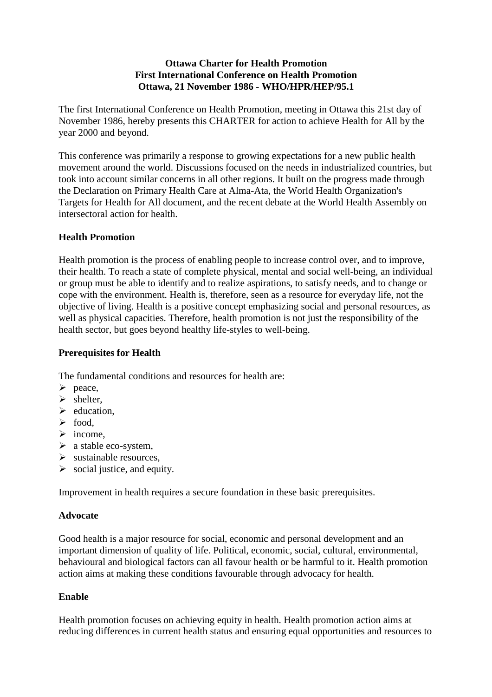#### **Ottawa Charter for Health Promotion First International Conference on Health Promotion Ottawa, 21 November 1986 - WHO/HPR/HEP/95.1**

The first International Conference on Health Promotion, meeting in Ottawa this 21st day of November 1986, hereby presents this CHARTER for action to achieve Health for All by the year 2000 and beyond.

This conference was primarily a response to growing expectations for a new public health movement around the world. Discussions focused on the needs in industrialized countries, but took into account similar concerns in all other regions. It built on the progress made through the Declaration on Primary Health Care at Alma-Ata, the World Health Organization's Targets for Health for All document, and the recent debate at the World Health Assembly on intersectoral action for health.

## **Health Promotion**

Health promotion is the process of enabling people to increase control over, and to improve, their health. To reach a state of complete physical, mental and social well-being, an individual or group must be able to identify and to realize aspirations, to satisfy needs, and to change or cope with the environment. Health is, therefore, seen as a resource for everyday life, not the objective of living. Health is a positive concept emphasizing social and personal resources, as well as physical capacities. Therefore, health promotion is not just the responsibility of the health sector, but goes beyond healthy life-styles to well-being.

# **Prerequisites for Health**

The fundamental conditions and resources for health are:

- $\blacktriangleright$  peace,
- $\triangleright$  shelter.
- $\triangleright$  education,
- $\blacktriangleright$  food,
- $\triangleright$  income,
- $\triangleright$  a stable eco-system,
- $\triangleright$  sustainable resources.
- $\triangleright$  social justice, and equity.

Improvement in health requires a secure foundation in these basic prerequisites.

## **Advocate**

Good health is a major resource for social, economic and personal development and an important dimension of quality of life. Political, economic, social, cultural, environmental, behavioural and biological factors can all favour health or be harmful to it. Health promotion action aims at making these conditions favourable through advocacy for health.

## **Enable**

Health promotion focuses on achieving equity in health. Health promotion action aims at reducing differences in current health status and ensuring equal opportunities and resources to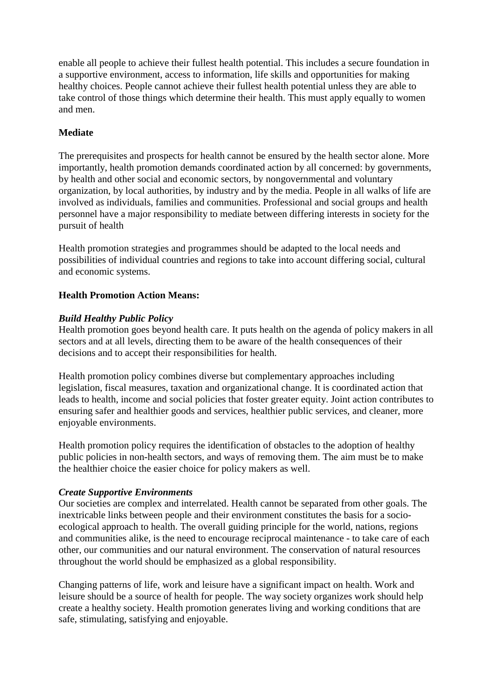enable all people to achieve their fullest health potential. This includes a secure foundation in a supportive environment, access to information, life skills and opportunities for making healthy choices. People cannot achieve their fullest health potential unless they are able to take control of those things which determine their health. This must apply equally to women and men.

## **Mediate**

The prerequisites and prospects for health cannot be ensured by the health sector alone. More importantly, health promotion demands coordinated action by all concerned: by governments, by health and other social and economic sectors, by nongovernmental and voluntary organization, by local authorities, by industry and by the media. People in all walks of life are involved as individuals, families and communities. Professional and social groups and health personnel have a major responsibility to mediate between differing interests in society for the pursuit of health

Health promotion strategies and programmes should be adapted to the local needs and possibilities of individual countries and regions to take into account differing social, cultural and economic systems.

## **Health Promotion Action Means:**

## *Build Healthy Public Policy*

Health promotion goes beyond health care. It puts health on the agenda of policy makers in all sectors and at all levels, directing them to be aware of the health consequences of their decisions and to accept their responsibilities for health.

Health promotion policy combines diverse but complementary approaches including legislation, fiscal measures, taxation and organizational change. It is coordinated action that leads to health, income and social policies that foster greater equity. Joint action contributes to ensuring safer and healthier goods and services, healthier public services, and cleaner, more enjoyable environments.

Health promotion policy requires the identification of obstacles to the adoption of healthy public policies in non-health sectors, and ways of removing them. The aim must be to make the healthier choice the easier choice for policy makers as well.

## *Create Supportive Environments*

Our societies are complex and interrelated. Health cannot be separated from other goals. The inextricable links between people and their environment constitutes the basis for a socioecological approach to health. The overall guiding principle for the world, nations, regions and communities alike, is the need to encourage reciprocal maintenance - to take care of each other, our communities and our natural environment. The conservation of natural resources throughout the world should be emphasized as a global responsibility.

Changing patterns of life, work and leisure have a significant impact on health. Work and leisure should be a source of health for people. The way society organizes work should help create a healthy society. Health promotion generates living and working conditions that are safe, stimulating, satisfying and enjoyable.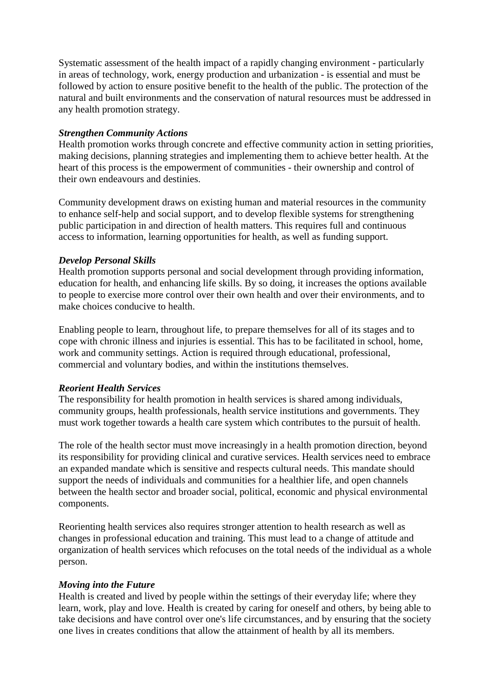Systematic assessment of the health impact of a rapidly changing environment - particularly in areas of technology, work, energy production and urbanization - is essential and must be followed by action to ensure positive benefit to the health of the public. The protection of the natural and built environments and the conservation of natural resources must be addressed in any health promotion strategy.

#### *Strengthen Community Actions*

Health promotion works through concrete and effective community action in setting priorities, making decisions, planning strategies and implementing them to achieve better health. At the heart of this process is the empowerment of communities - their ownership and control of their own endeavours and destinies.

Community development draws on existing human and material resources in the community to enhance self-help and social support, and to develop flexible systems for strengthening public participation in and direction of health matters. This requires full and continuous access to information, learning opportunities for health, as well as funding support.

## *Develop Personal Skills*

Health promotion supports personal and social development through providing information, education for health, and enhancing life skills. By so doing, it increases the options available to people to exercise more control over their own health and over their environments, and to make choices conducive to health.

Enabling people to learn, throughout life, to prepare themselves for all of its stages and to cope with chronic illness and injuries is essential. This has to be facilitated in school, home, work and community settings. Action is required through educational, professional, commercial and voluntary bodies, and within the institutions themselves.

## *Reorient Health Services*

The responsibility for health promotion in health services is shared among individuals, community groups, health professionals, health service institutions and governments. They must work together towards a health care system which contributes to the pursuit of health.

The role of the health sector must move increasingly in a health promotion direction, beyond its responsibility for providing clinical and curative services. Health services need to embrace an expanded mandate which is sensitive and respects cultural needs. This mandate should support the needs of individuals and communities for a healthier life, and open channels between the health sector and broader social, political, economic and physical environmental components.

Reorienting health services also requires stronger attention to health research as well as changes in professional education and training. This must lead to a change of attitude and organization of health services which refocuses on the total needs of the individual as a whole person.

#### *Moving into the Future*

Health is created and lived by people within the settings of their everyday life; where they learn, work, play and love. Health is created by caring for oneself and others, by being able to take decisions and have control over one's life circumstances, and by ensuring that the society one lives in creates conditions that allow the attainment of health by all its members.